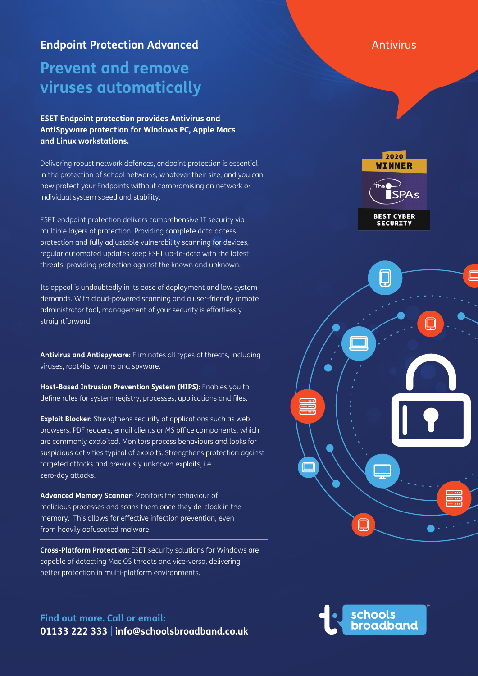### **Endpoint Protection Advanced** Antivirus

# **Prevent and remove viruses automatically**

### **ESET Endpoint protection provides Antivirus and AntiSpyware protection for Windows PC, Apple Macs and Linux workstations.**

Delivering robust network defences, endpoint protection is essential in the protection of school networks, whatever their size; and you can now protect your Endpoints without compromising on network or individual system speed and stability.

ESET endpoint protection delivers comprehensive IT security via multiple layers of protection. Providing complete data access protection and fully adjustable vulnerability scanning for devices, regular automated updates keep ESET up-to-date with the latest threats, providing protection against the known and unknown.

Its appeal is undoubtedly in its ease of deployment and low system demands. With cloud-powered scanning and a user-friendly remote administrator tool, management of your security is effortlessly straightforward.

**Antivirus and Antispyware:** Eliminates all types of threats, including viruses, rootkits, worms and spyware.

**Host-Based Intrusion Prevention System (HIPS):** Enables you to define rules for system registry, processes, applications and files.

**Exploit Blocker:** Strengthens security of applications such as web browsers, PDF readers, email clients or MS office components, which are commonly exploited. Monitors process behaviours and looks for suspicious activities typical of exploits. Strengthens protection against targeted attacks and previously unknown exploits, i.e. zero-day attacks.

**Advanced Memory Scanner**: Monitors the behaviour of malicious processes and scans them once they de-cloak in the memory. This allows for effective infection prevention, even from heavily obfuscated malware.

**Cross-Platform Protection:** ESET security solutions for Windows are capable of detecting Mac OS threats and vice-versa, delivering better protection in multi-platform environments.

**Find out more. Call or email: 01133 222 333** | **info@schoolsbroadband.co.uk**

2020 WINNER **ISPA<sub>S</sub> BEST CYBER**<br>SECURITY